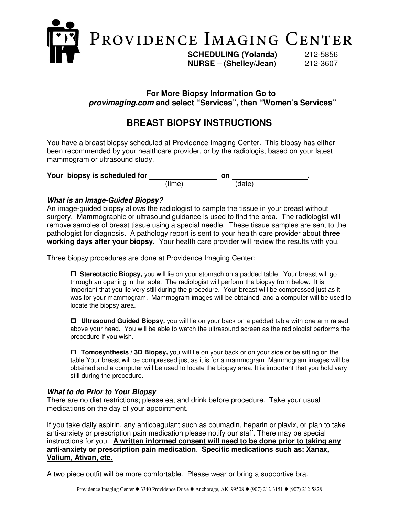

# **For More Biopsy Information Go to** *provimaging.com* **and select "Services", then "Women's Services"**

# **BREAST BIOPSY INSTRUCTIONS**

You have a breast biopsy scheduled at Providence Imaging Center. This biopsy has either been recommended by your healthcare provider, or by the radiologist based on your latest mammogram or ultrasound study.

Your biopsy is scheduled for \_\_  $(\text{time})$  on  $\frac{(\text{date})}{(\text{date})}$ 

## *What is an Image-Guided Biopsy?*

An image-guided biopsy allows the radiologist to sample the tissue in your breast without surgery. Mammographic or ultrasound guidance is used to find the area. The radiologist will remove samples of breast tissue using a special needle. These tissue samples are sent to the pathologist for diagnosis. A pathology report is sent to your health care provider about **three working days after your biopsy**. Your health care provider will review the results with you.

Three biopsy procedures are done at Providence Imaging Center:

□ Stereotactic Biopsy, you will lie on your stomach on a padded table. Your breast will go through an opening in the table. The radiologist will perform the biopsy from below. It is important that you lie very still during the procedure. Your breast will be compressed just as it was for your mammogram. Mammogram images will be obtained, and a computer will be used to locate the biopsy area.

- **Ultrasound Guided Biopsy***,* you will lie on your back on a padded table with one arm raised above your head. You will be able to watch the ultrasound screen as the radiologist performs the procedure if you wish.

□ Tomosynthesis / 3D Biopsy, you will lie on your back or on your side or be sitting on the table.Your breast will be compressed just as it is for a mammogram. Mammogram images will be obtained and a computer will be used to locate the biopsy area. It is important that you hold very still during the procedure.

## *What to do Prior to Your Biopsy*

There are no diet restrictions; please eat and drink before procedure. Take your usual medications on the day of your appointment.

If you take daily aspirin, any anticoagulant such as coumadin, heparin or plavix, or plan to take anti-anxiety or prescription pain medication please notify our staff. There may be special instructions for you. **A written informed consent will need to be done prior to taking any anti-anxiety or prescription pain medication**. **Specific medications such as: Xanax, Valium, Ativan, etc.** 

A two piece outfit will be more comfortable. Please wear or bring a supportive bra.